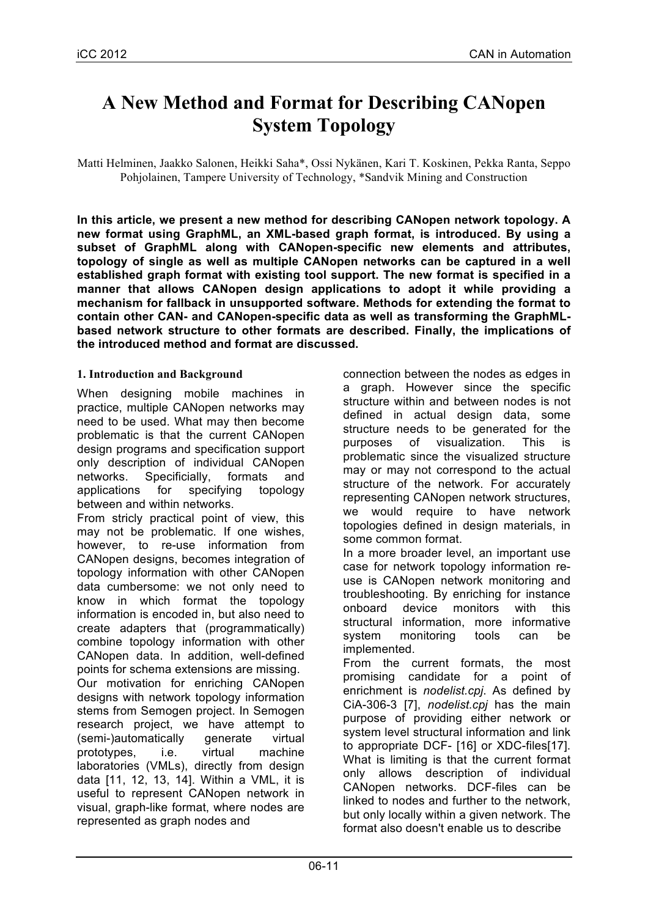# **A New Method and Format for Describing CANopen System Topology**

Matti Helminen, Jaakko Salonen, Heikki Saha\*, Ossi Nykänen, Kari T. Koskinen, Pekka Ranta, Seppo Pohjolainen, Tampere University of Technology, \*Sandvik Mining and Construction

**In this article, we present a new method for describing CANopen network topology. A new format using GraphML, an XML-based graph format, is introduced. By using a subset of GraphML along with CANopen-specific new elements and attributes, topology of single as well as multiple CANopen networks can be captured in a well established graph format with existing tool support. The new format is specified in a manner that allows CANopen design applications to adopt it while providing a mechanism for fallback in unsupported software. Methods for extending the format to contain other CAN- and CANopen-specific data as well as transforming the GraphMLbased network structure to other formats are described. Finally, the implications of the introduced method and format are discussed.** 

# **1. Introduction and Background**

When designing mobile machines in practice, multiple CANopen networks may need to be used. What may then become problematic is that the current CANopen design programs and specification support only description of individual CANopen networks. Specificially, formats and applications for specifying topology between and within networks.

From stricly practical point of view, this may not be problematic. If one wishes, however, to re-use information from CANopen designs, becomes integration of topology information with other CANopen data cumbersome: we not only need to know in which format the topology information is encoded in, but also need to create adapters that (programmatically) combine topology information with other CANopen data. In addition, well-defined points for schema extensions are missing. Our motivation for enriching CANopen designs with network topology information stems from Semogen project. In Semogen research project, we have attempt to (semi-)automatically generate virtual prototypes, i.e. virtual machine laboratories (VMLs), directly from design data [11, 12, 13, 14]. Within a VML, it is useful to represent CANopen network in visual, graph-like format, where nodes are represented as graph nodes and

connection between the nodes as edges in a graph. However since the specific structure within and between nodes is not defined in actual design data, some structure needs to be generated for the purposes of visualization. This is problematic since the visualized structure may or may not correspond to the actual structure of the network. For accurately representing CANopen network structures, we would require to have network topologies defined in design materials, in some common format. In a more broader level, an important use

case for network topology information reuse is CANopen network monitoring and troubleshooting. By enriching for instance onboard device monitors with this structural information, more informative system monitoring tools can be implemented.

From the current formats, the most promising candidate for a point of enrichment is *nodelist.cpj*. As defined by CiA-306-3 [7], *nodelist.cpj* has the main purpose of providing either network or system level structural information and link to appropriate DCF- [16] or XDC-files[17]. What is limiting is that the current format only allows description of individual CANopen networks. DCF-files can be linked to nodes and further to the network, but only locally within a given network. The format also doesn't enable us to describe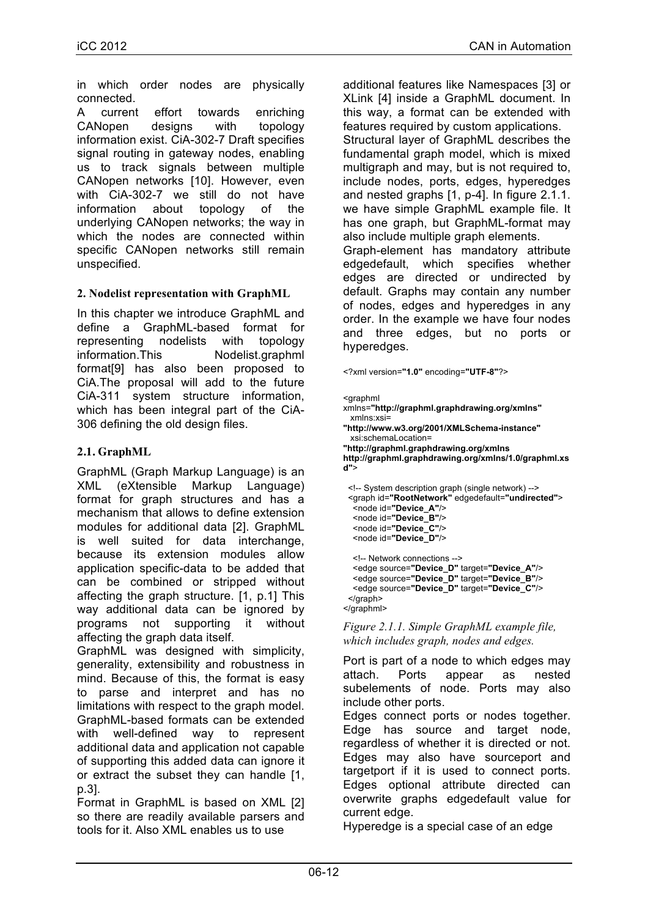in which order nodes are physically connected.

A current effort towards enriching CANopen designs with topology information exist. CiA-302-7 Draft specifies signal routing in gateway nodes, enabling us to track signals between multiple CANopen networks [10]. However, even with CiA-302-7 we still do not have information about topology of the underlying CANopen networks; the way in which the nodes are connected within specific CANopen networks still remain unspecified.

#### **2. Nodelist representation with GraphML**

In this chapter we introduce GraphML and define a GraphML-based format for representing nodelists with topology information.This Nodelist.graphml format[9] has also been proposed to CiA.The proposal will add to the future CiA-311 system structure information, which has been integral part of the CiA-306 defining the old design files.

#### **2.1. GraphML**

GraphML (Graph Markup Language) is an XML (eXtensible Markup Language) format for graph structures and has a mechanism that allows to define extension modules for additional data [2]. GraphML is well suited for data interchange, because its extension modules allow application specific-data to be added that can be combined or stripped without affecting the graph structure. [1, p.1] This way additional data can be ignored by programs not supporting it without affecting the graph data itself.

GraphML was designed with simplicity, generality, extensibility and robustness in mind. Because of this, the format is easy to parse and interpret and has no limitations with respect to the graph model. GraphML-based formats can be extended with well-defined way to represent additional data and application not capable of supporting this added data can ignore it or extract the subset they can handle [1, p.3].

Format in GraphML is based on XML [2] so there are readily available parsers and tools for it. Also XML enables us to use

additional features like Namespaces [3] or XLink [4] inside a GraphML document. In this way, a format can be extended with features required by custom applications. Structural layer of GraphML describes the fundamental graph model, which is mixed multigraph and may, but is not required to, include nodes, ports, edges, hyperedges and nested graphs [1, p-4]. In figure 2.1.1. we have simple GraphML example file. It has one graph, but GraphML-format may also include multiple graph elements. Graph-element has mandatory attribute edgedefault, which specifies whether edges are directed or undirected by default. Graphs may contain any number of nodes, edges and hyperedges in any order. In the example we have four nodes and three edges, but no ports or hyperedges.

<?xml version=**"1.0"** encoding=**"UTF-8"**?>

```
<graphml
```
</graphml>

- xmlns=**"http://graphml.graphdrawing.org/xmlns"** xmlns:xsi=
- **"http://www.w3.org/2001/XMLSchema-instance"** xsi:schemaLocation=

**"http://graphml.graphdrawing.org/xmlns http://graphml.graphdrawing.org/xmlns/1.0/graphml.xs d"**>

<!-- System description graph (single network) --> <graph id=**"RootNetwork"** edgedefault=**"undirected"**> <node id=**"Device\_A"**/> <node id=**"Device\_B"**/> <node id=**"Device\_C"**/> <node id=**"Device\_D"**/> <!-- Network connections --> <edge source=**"Device\_D"** target=**"Device\_A"**/> <edge source=**"Device\_D"** target=**"Device\_B"**/> <edge source=**"Device\_D"** target=**"Device\_C"**/> </graph>

*Figure 2.1.1. Simple GraphML example file, which includes graph, nodes and edges.* 

Port is part of a node to which edges may attach. Ports appear as nested subelements of node. Ports may also include other ports.

Edges connect ports or nodes together. Edge has source and target node, regardless of whether it is directed or not. Edges may also have sourceport and targetport if it is used to connect ports. Edges optional attribute directed can overwrite graphs edgedefault value for current edge.

Hyperedge is a special case of an edge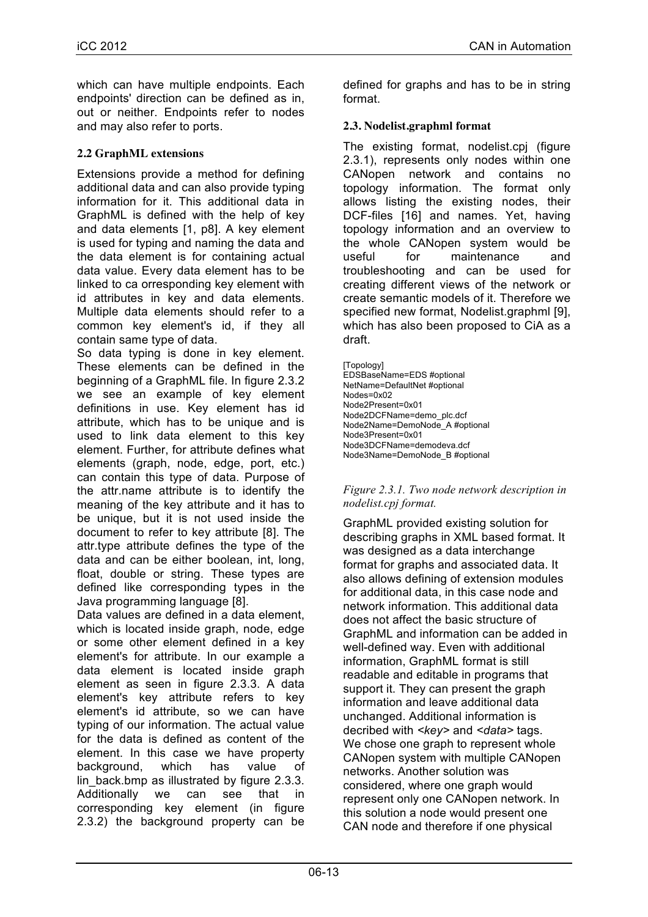which can have multiple endpoints. Each endpoints' direction can be defined as in, out or neither. Endpoints refer to nodes and may also refer to ports.

# **2.2 GraphML extensions**

Extensions provide a method for defining additional data and can also provide typing information for it. This additional data in GraphML is defined with the help of key and data elements [1, p8]. A key element is used for typing and naming the data and the data element is for containing actual data value. Every data element has to be linked to ca orresponding key element with id attributes in key and data elements. Multiple data elements should refer to a common key element's id, if they all contain same type of data.

So data typing is done in key element. These elements can be defined in the beginning of a GraphML file. In figure 2.3.2 we see an example of key element definitions in use. Key element has id attribute, which has to be unique and is used to link data element to this key element. Further, for attribute defines what elements (graph, node, edge, port, etc.) can contain this type of data. Purpose of the attr.name attribute is to identify the meaning of the key attribute and it has to be unique, but it is not used inside the document to refer to key attribute [8]. The attr.type attribute defines the type of the data and can be either boolean, int, long, float, double or string. These types are defined like corresponding types in the Java programming language [8].

Data values are defined in a data element. which is located inside graph, node, edge or some other element defined in a key element's for attribute. In our example a data element is located inside graph element as seen in figure 2.3.3. A data element's key attribute refers to key element's id attribute, so we can have typing of our information. The actual value for the data is defined as content of the element. In this case we have property background, which has value of lin back.bmp as illustrated by figure 2.3.3. Additionally we can see that in corresponding key element (in figure 2.3.2) the background property can be

defined for graphs and has to be in string format.

# **2.3. Nodelist.graphml format**

The existing format, nodelist.cpj (figure 2.3.1), represents only nodes within one CANopen network and contains no topology information. The format only allows listing the existing nodes, their DCF-files [16] and names. Yet, having topology information and an overview to the whole CANopen system would be useful for maintenance and troubleshooting and can be used for creating different views of the network or create semantic models of it. Therefore we specified new format, Nodelist.graphml [9], which has also been proposed to CiA as a draft.

[Topology] EDSBaseName=EDS #optional NetName=DefaultNet #optional Nodes=0x02 Node2Present=0x01 Node2DCFName=demo\_plc.dcf Node2Name=DemoNode\_A #optional Node3Present=0x01 Node3DCFName=demodeva.dcf Node3Name=DemoNode\_B #optional

#### *Figure 2.3.1. Two node network description in nodelist.cpj format.*

GraphML provided existing solution for describing graphs in XML based format. It was designed as a data interchange format for graphs and associated data. It also allows defining of extension modules for additional data, in this case node and network information. This additional data does not affect the basic structure of GraphML and information can be added in well-defined way. Even with additional information, GraphML format is still readable and editable in programs that support it. They can present the graph information and leave additional data unchanged. Additional information is decribed with *<key>* and *<data>* tags. We chose one graph to represent whole CANopen system with multiple CANopen networks. Another solution was considered, where one graph would represent only one CANopen network. In this solution a node would present one CAN node and therefore if one physical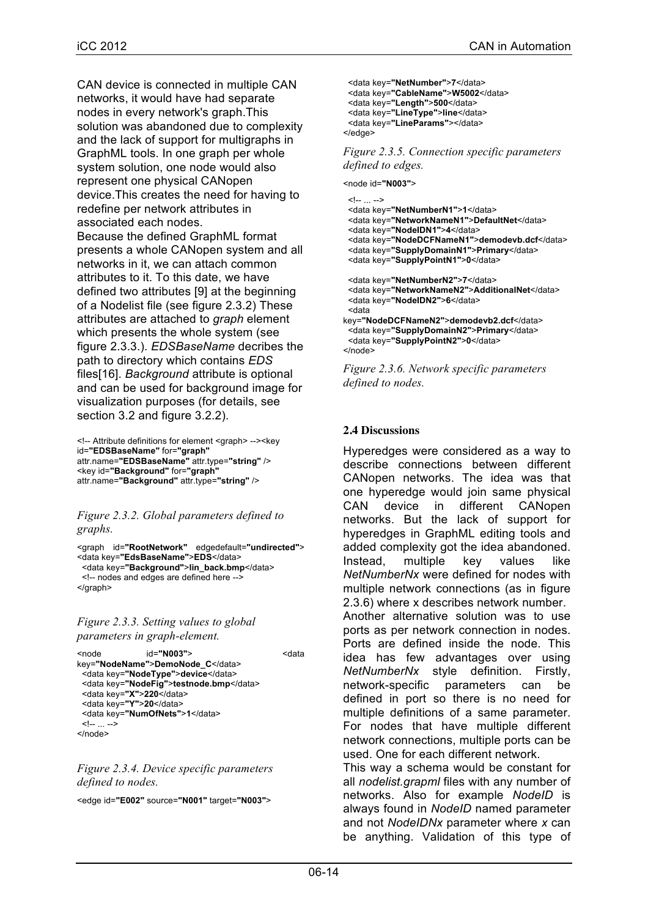CAN device is connected in multiple CAN networks, it would have had separate nodes in every network's graph.This solution was abandoned due to complexity and the lack of support for multigraphs in GraphML tools. In one graph per whole system solution, one node would also represent one physical CANopen device.This creates the need for having to redefine per network attributes in associated each nodes. Because the defined GraphML format presents a whole CANopen system and all networks in it, we can attach common attributes to it. To this date, we have defined two attributes [9] at the beginning of a Nodelist file (see figure 2.3.2) These attributes are attached to *graph* element which presents the whole system (see figure 2.3.3.). *EDSBaseName* decribes the path to directory which contains *EDS*  files[16]. *Background* attribute is optional and can be used for background image for visualization purposes (for details, see section 3.2 and figure 3.2.2).

```
<!-- Attribute definitions for element <graph> --><key 
id="EDSBaseName" for="graph"
attr.name="EDSBaseName" attr.type="string" />
<key id="Background" for="graph"
attr.name="Background" attr.type="string" />
```
*Figure 2.3.2. Global parameters defined to graphs.*

```
<graph id="RootNetwork" edgedefault="undirected"> 
<data key="EdsBaseName">EDS</data>
  <data key="Background">lin_back.bmp</data>
  <!-- nodes and edges are defined here -->
</graph>
```
#### *Figure 2.3.3. Setting values to global parameters in graph-element.*

```
<node id="N003"> <data 
key="NodeName">DemoNode_C</data>
 <data key="NodeType">device</data>
 <data key="NodeFig">testnode.bmp</data>
  <data key="X">220</data>
  <data key="Y">20</data>
  <data key="NumOfNets">1</data>
  <!-- ... -->
</node>
```
*Figure 2.3.4. Device specific parameters defined to nodes.* 

<edge id=**"E002"** source=**"N001"** target=**"N003"**>

```
 <data key="NetNumber">7</data>
 <data key="CableName">W5002</data>
 <data key="Length">500</data>
  <data key="LineType">line</data>
  <data key="LineParams"></data>
</edge>
```
*Figure 2.3.5. Connection specific parameters defined to edges.* 

<node id=**"N003"**>

```
 <!-- ... -->
 <data key="NetNumberN1">1</data>
  <data key="NetworkNameN1">DefaultNet</data>
  <data key="NodeIDN1">4</data>
  <data key="NodeDCFNameN1">demodevb.dcf</data>
  <data key="SupplyDomainN1">Primary</data>
  <data key="SupplyPointN1">0</data>
  <data key="NetNumberN2">7</data>
  <data key="NetworkNameN2">AdditionalNet</data>
  <data key="NodeIDN2">6</data>
 <data 
key="NodeDCFNameN2">demodevb2.dcf</data>
  <data key="SupplyDomainN2">Primary</data>
 <data key="SupplyPointN2">0</data>
</node>
```
*Figure 2.3.6. Network specific parameters defined to nodes.*

#### **2.4 Discussions**

Hyperedges were considered as a way to describe connections between different CANopen networks. The idea was that one hyperedge would join same physical CAN device in different CANopen networks. But the lack of support for hyperedges in GraphML editing tools and added complexity got the idea abandoned. Instead, multiple key values like *NetNumberNx* were defined for nodes with multiple network connections (as in figure 2.3.6) where x describes network number. Another alternative solution was to use ports as per network connection in nodes. Ports are defined inside the node. This idea has few advantages over using *NetNumberNx* style definition. Firstly, network-specific parameters can be defined in port so there is no need for multiple definitions of a same parameter. For nodes that have multiple different network connections, multiple ports can be used. One for each different network. This way a schema would be constant for

all *nodelist.grapml* files with any number of networks. Also for example *NodeID* is always found in *NodeID* named parameter and not *NodeIDNx* parameter where *x* can be anything. Validation of this type of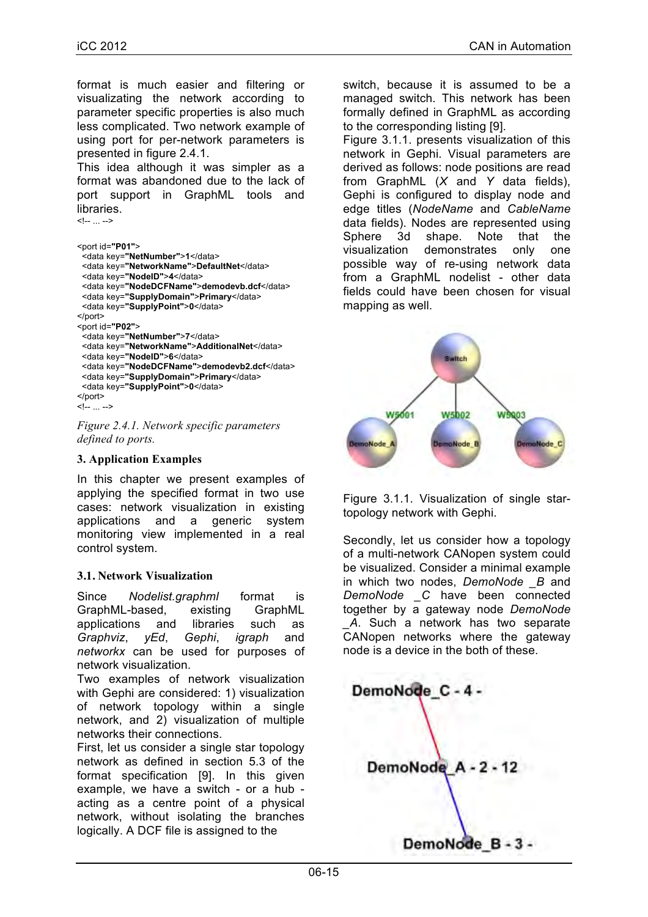format is much easier and filtering or visualizating the network according to parameter specific properties is also much less complicated. Two network example of using port for per-network parameters is presented in figure 2.4.1.

This idea although it was simpler as a format was abandoned due to the lack of port support in GraphML tools and libraries. <!-- ... -->

```
<port id="P01">
  <data key="NetNumber">1</data>
  <data key="NetworkName">DefaultNet</data>
  <data key="NodeID">4</data>
  <data key="NodeDCFName">demodevb.dcf</data>
  <data key="SupplyDomain">Primary</data>
  <data key="SupplyPoint">0</data>
</port>
<port id="P02">
  <data key="NetNumber">7</data>
  <data key="NetworkName">AdditionalNet</data>
  <data key="NodeID">6</data>
  <data key="NodeDCFName">demodevb2.dcf</data>
  <data key="SupplyDomain">Primary</data>
  <data key="SupplyPoint">0</data>
</port>
<!-- ... -->
```
*Figure 2.4.1. Network specific parameters defined to ports.*

#### **3. Application Examples**

In this chapter we present examples of applying the specified format in two use cases: network visualization in existing applications and a generic system monitoring view implemented in a real control system.

#### **3.1. Network Visualization**

Since *Nodelist.graphml* format is GraphML-based, existing GraphML applications and libraries such as *Graphviz*, *yEd*, *Gephi*, *igraph* and *networkx* can be used for purposes of network visualization.

Two examples of network visualization with Gephi are considered: 1) visualization of network topology within a single network, and 2) visualization of multiple networks their connections.

First, let us consider a single star topology network as defined in section 5.3 of the format specification [9]. In this given example, we have a switch - or a hub acting as a centre point of a physical network, without isolating the branches logically. A DCF file is assigned to the

switch, because it is assumed to be a managed switch. This network has been formally defined in GraphML as according to the corresponding listing [9].

Figure 3.1.1. presents visualization of this network in Gephi. Visual parameters are derived as follows: node positions are read from GraphML (*X* and *Y* data fields), Gephi is configured to display node and edge titles (*NodeName* and *CableName* data fields). Nodes are represented using Sphere 3d shape. Note that the visualization demonstrates only one possible way of re-using network data from a GraphML nodelist - other data fields could have been chosen for visual mapping as well.



Figure 3.1.1. Visualization of single startopology network with Gephi.

Secondly, let us consider how a topology of a multi-network CANopen system could be visualized. Consider a minimal example in which two nodes, *DemoNode \_B* and *DemoNode \_C* have been connected together by a gateway node *DemoNode \_A*. Such a network has two separate CANopen networks where the gateway node is a device in the both of these.

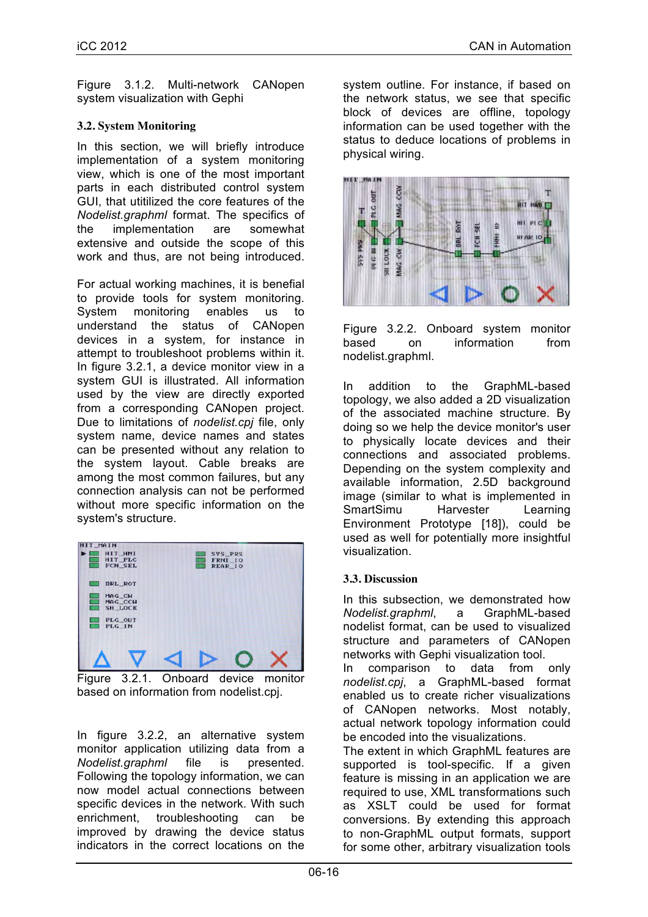Figure 3.1.2. Multi-network CANopen system visualization with Gephi

# **3.2. System Monitoring**

In this section, we will briefly introduce implementation of a system monitoring view, which is one of the most important parts in each distributed control system GUI, that utitilized the core features of the *Nodelist.graphml* format. The specifics of the implementation are somewhat extensive and outside the scope of this work and thus, are not being introduced.

For actual working machines, it is benefial to provide tools for system monitoring. System monitoring enables us to understand the status of CANopen devices in a system, for instance in attempt to troubleshoot problems within it. In figure 3.2.1, a device monitor view in a system GUI is illustrated. All information used by the view are directly exported from a corresponding CANopen project. Due to limitations of *nodelist.cpj* file, only system name, device names and states can be presented without any relation to the system layout. Cable breaks are among the most common failures, but any connection analysis can not be performed without more specific information on the system's structure.



Figure 3.2.1. Onboard device monitor based on information from nodelist.cpj.

In figure 3.2.2, an alternative system monitor application utilizing data from a *Nodelist.graphml* file is presented. Following the topology information, we can now model actual connections between specific devices in the network. With such enrichment, troubleshooting can be improved by drawing the device status indicators in the correct locations on the

system outline. For instance, if based on the network status, we see that specific block of devices are offline, topology information can be used together with the status to deduce locations of problems in physical wiring.



Figure 3.2.2. Onboard system monitor based on information from nodelist.graphml.

In addition to the GraphML-based topology, we also added a 2D visualization of the associated machine structure. By doing so we help the device monitor's user to physically locate devices and their connections and associated problems. Depending on the system complexity and available information, 2.5D background image (similar to what is implemented in SmartSimu Harvester Learning Environment Prototype [18]), could be used as well for potentially more insightful visualization.

#### **3.3. Discussion**

In this subsection, we demonstrated how *Nodelist.graphml*, a GraphML-based nodelist format, can be used to visualized structure and parameters of CANopen networks with Gephi visualization tool.

In comparison to data from only *nodelist.cpj*, a GraphML-based format enabled us to create richer visualizations of CANopen networks. Most notably, actual network topology information could be encoded into the visualizations.

The extent in which GraphML features are supported is tool-specific. If a given feature is missing in an application we are required to use, XML transformations such as XSLT could be used for format conversions. By extending this approach to non-GraphML output formats, support for some other, arbitrary visualization tools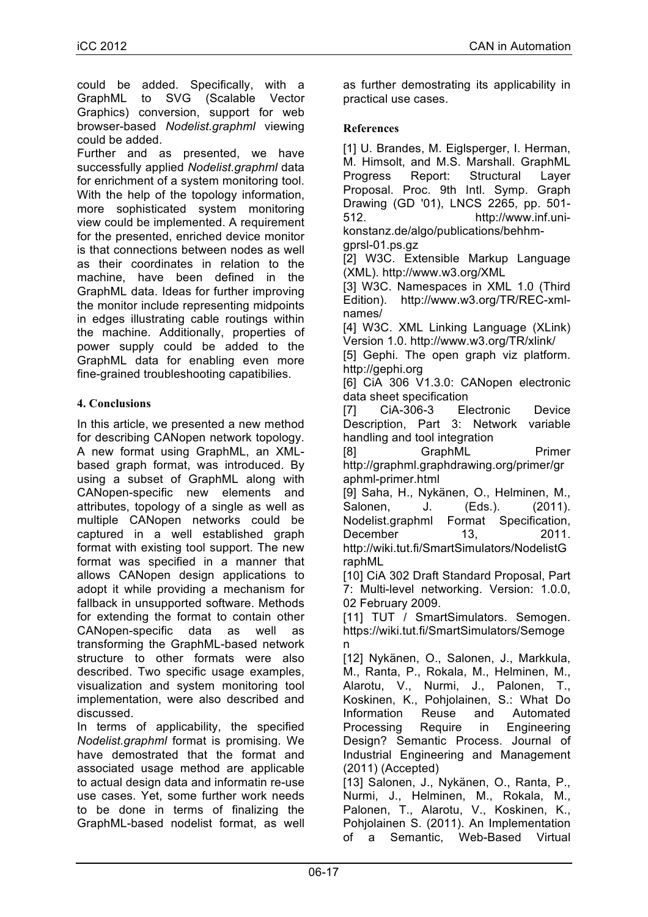could be added. Specifically, with a GraphML to SVG (Scalable Vector Graphics) conversion, support for web browser-based *Nodelist.graphml* viewing could be added.

Further and as presented, we have successfully applied *Nodelist.graphml* data for enrichment of a system monitoring tool. With the help of the topology information, more sophisticated system monitoring view could be implemented. A requirement for the presented, enriched device monitor is that connections between nodes as well as their coordinates in relation to the machine, have been defined in the GraphML data. Ideas for further improving the monitor include representing midpoints in edges illustrating cable routings within the machine. Additionally, properties of power supply could be added to the GraphML data for enabling even more fine-grained troubleshooting capatibilies.

# **4. Conclusions**

In this article, we presented a new method for describing CANopen network topology. A new format using GraphML, an XMLbased graph format, was introduced. By using a subset of GraphML along with CANopen-specific new elements and attributes, topology of a single as well as multiple CANopen networks could be captured in a well established graph format with existing tool support. The new format was specified in a manner that allows CANopen design applications to adopt it while providing a mechanism for fallback in unsupported software. Methods for extending the format to contain other CANopen-specific data as well as transforming the GraphML-based network structure to other formats were also described. Two specific usage examples, visualization and system monitoring tool implementation, were also described and discussed.

In terms of applicability, the specified *Nodelist.graphml* format is promising. We have demostrated that the format and associated usage method are applicable to actual design data and informatin re-use use cases. Yet, some further work needs to be done in terms of finalizing the GraphML-based nodelist format, as well as further demostrating its applicability in practical use cases.

# **References**

[1] U. Brandes, M. Eiglsperger, I. Herman, M. Himsolt, and M.S. Marshall. GraphML Progress Report: Structural Layer Proposal. Proc. 9th Intl. Symp. Graph Drawing (GD '01), LNCS 2265, pp. 501- 512. http://www.inf.unikonstanz.de/algo/publications/behhmgprsl-01.ps.gz

[2] W3C. Extensible Markup Language (XML). http://www.w3.org/XML

[3] W3C. Namespaces in XML 1.0 (Third Edition). http://www.w3.org/TR/REC-xmlnames/

[4] W3C. XML Linking Language (XLink) Version 1.0. http://www.w3.org/TR/xlink/

[5] Gephi. The open graph viz platform. http://gephi.org

[6] CiA 306 V1.3.0: CANopen electronic data sheet specification

[7] CiA-306-3 Electronic Device Description, Part 3: Network variable handling and tool integration

[8] GraphML Primer http://graphml.graphdrawing.org/primer/gr aphml-primer.html

[9] Saha, H., Nykänen, O., Helminen, M., Salonen, J. (Eds.). (2011). Nodelist.graphml Format Specification, December 13, 2011. http://wiki.tut.fi/SmartSimulators/NodelistG raphML

[10] CiA 302 Draft Standard Proposal, Part 7: Multi-level networking. Version: 1.0.0, 02 February 2009.

[11] TUT / SmartSimulators. Semogen. https://wiki.tut.fi/SmartSimulators/Semoge n

[12] Nykänen, O., Salonen, J., Markkula, M., Ranta, P., Rokala, M., Helminen, M., Alarotu, V., Nurmi, J., Palonen, T., Koskinen, K., Pohjolainen, S.: What Do Information Reuse and Automated Processing Require in Engineering Design? Semantic Process. Journal of Industrial Engineering and Management (2011) (Accepted)

[13] Salonen, J., Nykänen, O., Ranta, P., Nurmi, J., Helminen, M., Rokala, M., Palonen, T., Alarotu, V., Koskinen, K., Pohjolainen S. (2011). An Implementation of a Semantic, Web-Based Virtual